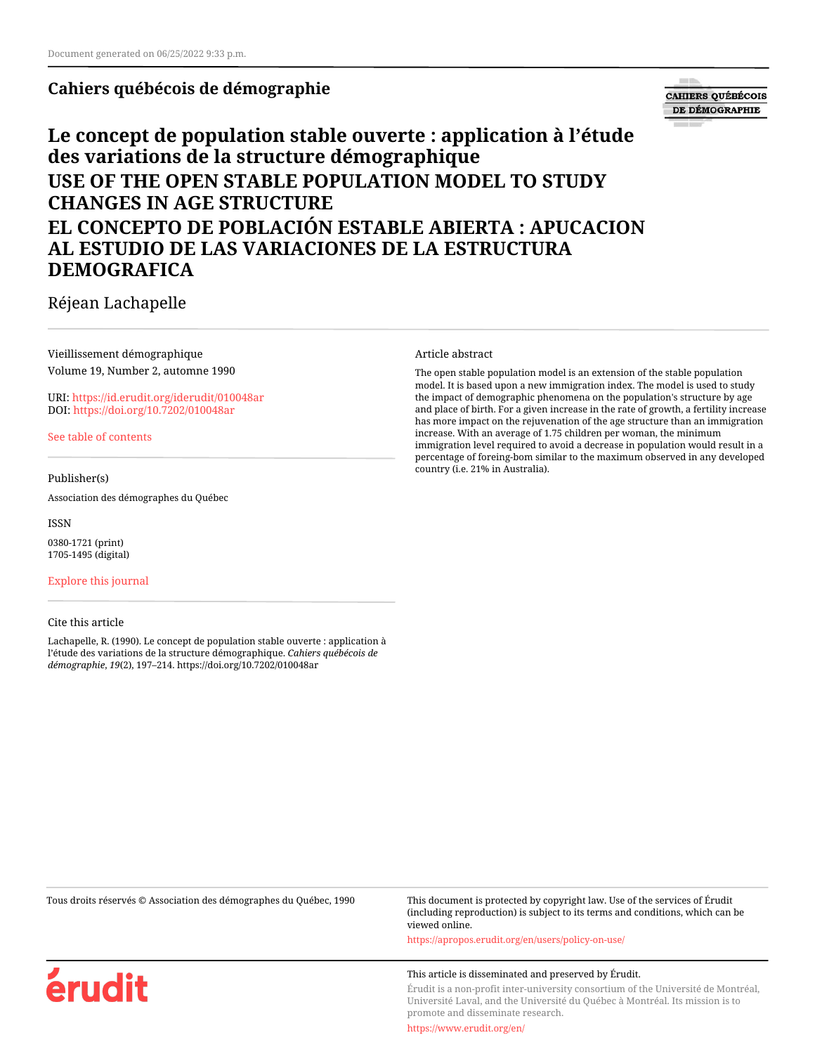## **Cahiers québécois de démographie**

# **CAHIERS QUÉBÉCOIS** DE DÉMOGRAPHIE

# **Le concept de population stable ouverte : application à l'étude des variations de la structure démographique USE OF THE OPEN STABLE POPULATION MODEL TO STUDY CHANGES IN AGE STRUCTURE EL CONCEPTO DE POBLACIÓN ESTABLE ABIERTA : APUCACION AL ESTUDIO DE LAS VARIACIONES DE LA ESTRUCTURA DEMOGRAFICA**

Réjean Lachapelle

Vieillissement démographique Volume 19, Number 2, automne 1990

URI:<https://id.erudit.org/iderudit/010048ar> DOI:<https://doi.org/10.7202/010048ar>

[See table of contents](https://www.erudit.org/en/journals/cqd/1990-v19-n2-cqd570/)

## Publisher(s)

Association des démographes du Québec

ISSN

0380-1721 (print) 1705-1495 (digital)

[Explore this journal](https://www.erudit.org/en/journals/cqd/)

érudit

#### Cite this article

Lachapelle, R. (1990). Le concept de population stable ouverte : application à l'étude des variations de la structure démographique. *Cahiers québécois de démographie*, *19*(2), 197–214. https://doi.org/10.7202/010048ar

#### Article abstract

The open stable population model is an extension of the stable population model. It is based upon a new immigration index. The model is used to study the impact of demographic phenomena on the population's structure by age and place of birth. For a given increase in the rate of growth, a fertility increase has more impact on the rejuvenation of the age structure than an immigration increase. With an average of 1.75 children per woman, the minimum immigration level required to avoid a decrease in population would result in a percentage of foreing-bom similar to the maximum observed in any developed country (i.e. 21% in Australia).

Tous droits réservés © Association des démographes du Québec, 1990 This document is protected by copyright law. Use of the services of Érudit (including reproduction) is subject to its terms and conditions, which can be viewed online.

<https://apropos.erudit.org/en/users/policy-on-use/>

#### This article is disseminated and preserved by Érudit.

Érudit is a non-profit inter-university consortium of the Université de Montréal, Université Laval, and the Université du Québec à Montréal. Its mission is to promote and disseminate research.

<https://www.erudit.org/en/>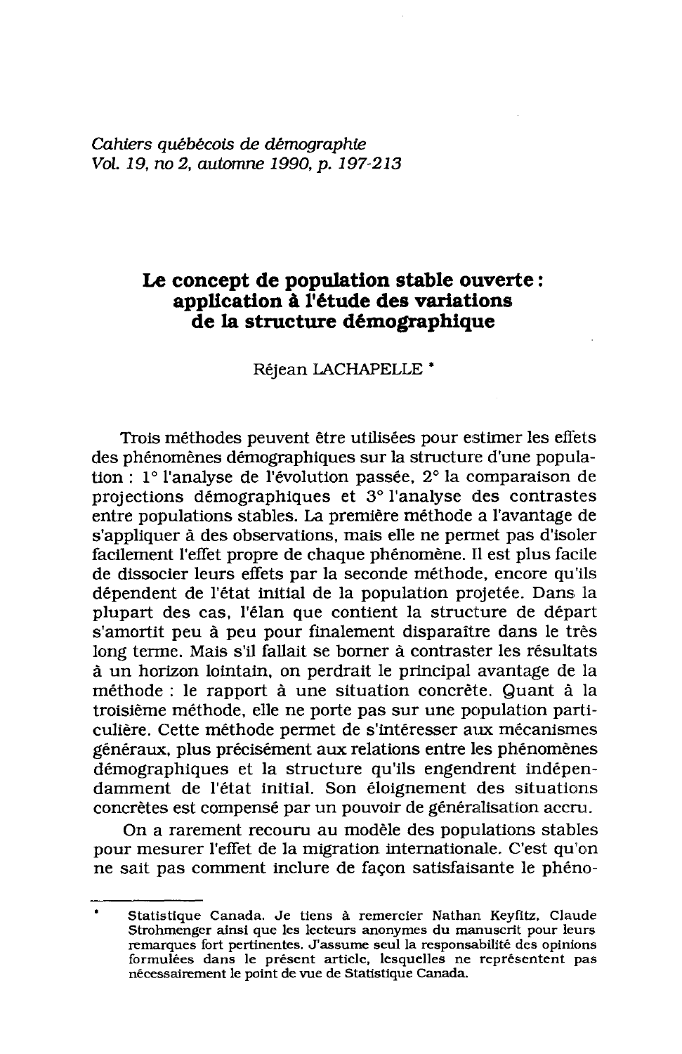Cahiers auébécois de démographie Vol. 19, no 2, automne 1990, p. 197-213

## Le concept de population stable ouverte: application à l'étude des variations de la structure démographique

Réjean LACHAPELLE<sup>\*</sup>

Trois méthodes peuvent être utilisées pour estimer les effets des phénomènes démographiques sur la structure d'une population :  $1^\circ$  l'analyse de l'évolution passée,  $2^\circ$  la comparaison de projections démographiques et 3° l'analyse des contrastes entre populations stables. La première méthode a l'avantage de s'appliquer à des observations, mais elle ne permet pas d'isoler facilement l'effet propre de chaque phénomène. Il est plus facile de dissocier leurs effets par la seconde méthode, encore qu'ils dépendent de l'état initial de la population projetée. Dans la plupart des cas, l'élan que contient la structure de départ s'amortit peu à peu pour finalement disparaître dans le très long terme. Mais s'il fallait se borner à contraster les résultats à un horizon lointain, on perdrait le principal avantage de la méthode : le rapport à une situation concrète. Quant à la troisième méthode, elle ne porte pas sur une population particulière. Cette méthode permet de s'intéresser aux mécanismes généraux, plus précisément aux relations entre les phénomènes démographiques et la structure qu'ils engendrent indépendamment de l'état initial. Son éloignement des situations concrètes est compensé par un pouvoir de généralisation accru.

On a rarement recouru au modèle des populations stables pour mesurer l'effet de la migration internationale. C'est qu'on ne sait pas comment inclure de façon satisfaisante le phéno-

Statistique Canada. Je tiens à remercier Nathan Keyfitz, Claude Strohmenger ainsi que les lecteurs anonymes du manuscrit pour leurs remarques fort pertinentes. J'assume seul la responsabilité des opinions formulées dans le présent article, lesquelles ne représentent pas nécessairement le point de vue de Statistique Canada.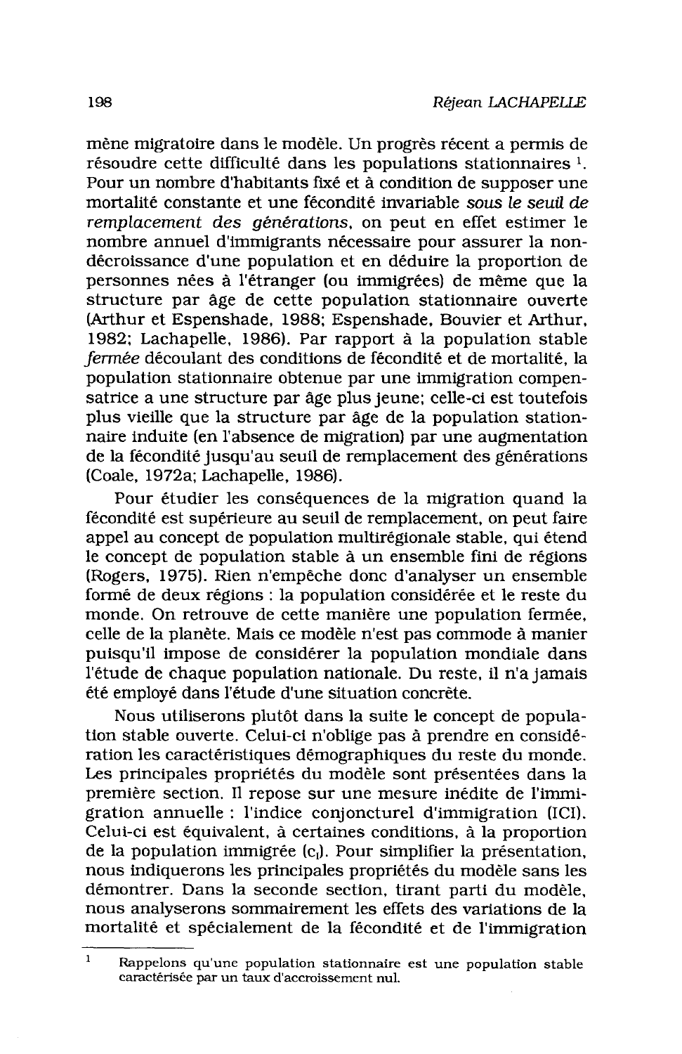mène migratoire dans le modèle. Un progrès récent a permis de résoudre cette difficulté dans les populations stationnaires <sup>1</sup>. Pour un nombre d'habitants fixé et à condition de supposer une mortalité constante et une fécondité invariable sous le seuil de remplacement des générations, on peut en effet estimer le nombre annuel d'immigrants nécessaire pour assurer la nondécroissance d'une population et en déduire la proportion de personnes nées à l'étranger (ou immigrées) de même que la structure par âge de cette population stationnaire ouverte (Arthur et Espenshade, 1988; Espenshade, Bouvier et Arthur, 1982; Lachapelle, 1986). Par rapport à la population stable fermée découlant des conditions de fécondité et de mortalité, la population stationnaire obtenue par une immigration compensatrice a une structure par âge plus jeune; celle-ci est toutefois plus vieille que la structure par âge de la population stationnaire induite (en l'absence de migration) par une augmentation de la fécondité jusqu'au seuil de remplacement des générations (Coale, 1972a; Lachapelle, 1986).

Pour étudier les conséquences de la migration quand la fécondité est supérieure au seuil de remplacement, on peut faire appel au concept de population multirégionale stable, qui étend le concept de population stable à un ensemble fini de régions (Rogers, 1975). Rien n'empêche donc d'analyser un ensemble formé de deux régions : la population considérée et le reste du monde. On retrouve de cette manière une population fermée. celle de la planète. Mais ce modèle n'est pas commode à manier puisqu'il impose de considérer la population mondiale dans l'étude de chaque population nationale. Du reste, il n'a jamais été employé dans l'étude d'une situation concrète.

Nous utiliserons plutôt dans la suite le concept de population stable ouverte. Celui-ci n'oblige pas à prendre en considération les caractéristiques démographiques du reste du monde. Les principales propriétés du modèle sont présentées dans la première section. Il repose sur une mesure inédite de l'immigration annuelle : l'indice conjoncturel d'immigration (ICI). Celui-ci est équivalent, à certaines conditions, à la proportion de la population immigrée (c,). Pour simplifier la présentation, nous indiquerons les principales propriétés du modèle sans les démontrer. Dans la seconde section, tirant parti du modèle, nous analyserons sommairement les effets des variations de la mortalité et spécialement de la fécondité et de l'immigration

 $\mathbf{1}$ Rappelons qu'une population stationnaire est une population stable caractérisée par un taux d'accroissement nul.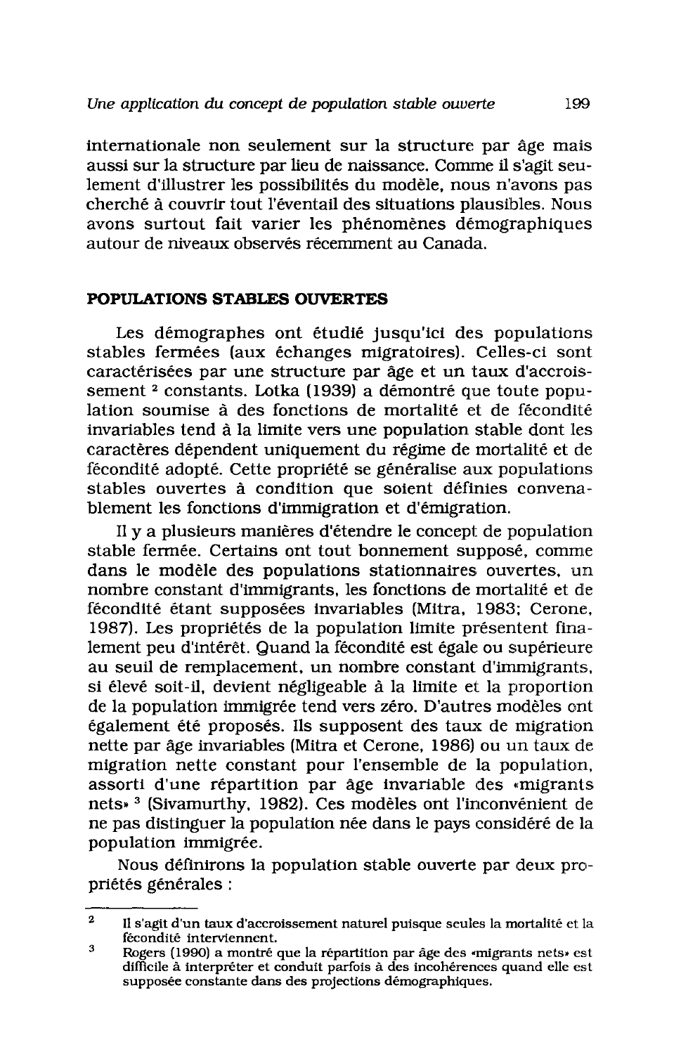internationale non seulement sur la structure par âge mais aussi sur la structure par lieu de naissance. Comme il s'agit seulement d'illustrer les possibilités du modèle, nous n'avons pas cherché à couvrir tout l'éventail des situations plausibles. Nous avons surtout fait varier les phénomènes démographiques autour de niveaux observés récemment au Canada.

## POPULATIONS STABLES OUVERTES

Les démographes ont étudié jusqu'ici des populations stables fermées (aux échanges migratoires). Celles-ci sont caractérisées par une structure par âge et un taux d'accroissement<sup>2</sup> constants. Lotka (1939) a démontré que toute population soumise à des fonctions de mortalité et de fécondité invariables tend à la limite vers une population stable dont les caractères dépendent uniquement du régime de mortalité et de fécondité adopté. Cette propriété se généralise aux populations stables ouvertes à condition que soient définies convenablement les fonctions d'immigration et d'émigration.

Il y a plusieurs manières d'étendre le concept de population stable fermée. Certains ont tout bonnement supposé, comme dans le modèle des populations stationnaires ouvertes, un nombre constant d'immigrants, les fonctions de mortalité et de fécondité étant supposées invariables (Mitra, 1983; Cerone, 1987). Les propriétés de la population limite présentent finalement peu d'intérêt. Quand la fécondité est égale ou supérieure au seuil de remplacement, un nombre constant d'immigrants, si élevé soit-il, devient négligeable à la limite et la proportion de la population immigrée tend vers zéro. D'autres modèles ont également été proposés. Ils supposent des taux de migration nette par âge invariables (Mitra et Cerone, 1986) ou un taux de migration nette constant pour l'ensemble de la population, assorti d'une répartition par âge invariable des «migrants nets»<sup>3</sup> (Sivamurthy, 1982). Ces modèles ont l'inconvénient de ne pas distinguer la population née dans le pays considéré de la population immigrée.

Nous définirons la population stable ouverte par deux propriétés générales :

 $\overline{2}$ Il s'agit d'un taux d'accroissement naturel puisque seules la mortalité et la fécondité interviennent.

 $\mathbf{a}$ Rogers (1990) a montré que la répartition par âge des «migrants nets» est difficile à interpréter et conduit parfois à des incohérences quand elle est supposée constante dans des projections démographiques.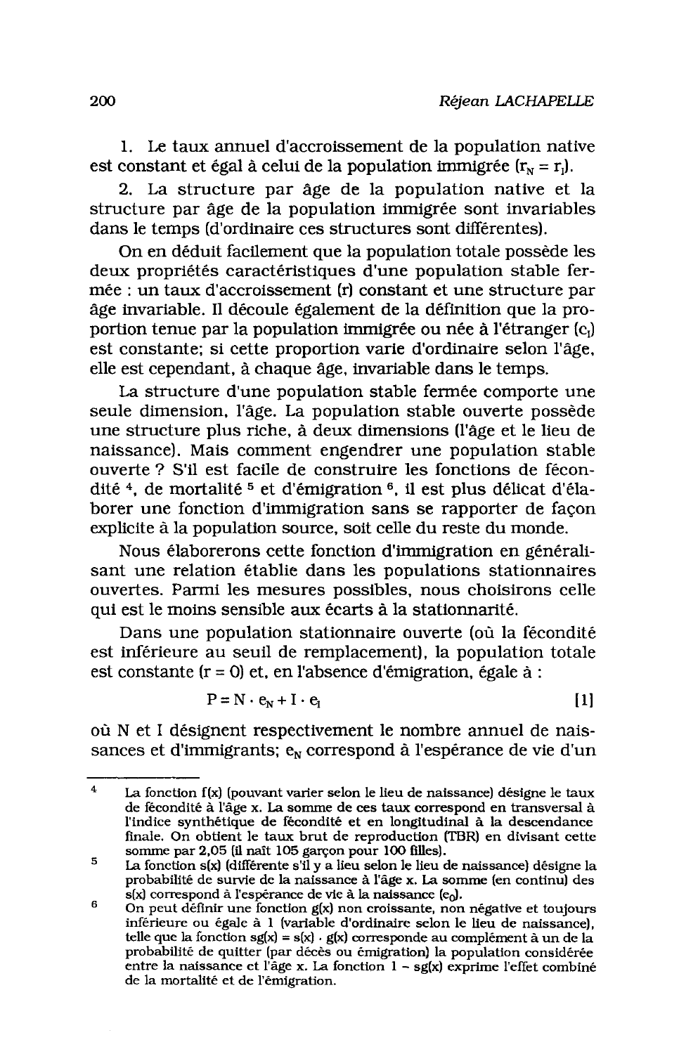1. Le taux annuel d'accroissement de la population native est constant et égal à celui de la population immigrée  $(r_N = r_l)$ .

2. La structure par âge de la population native et la structure par âge de la population immigrée sont invariables dans le temps (d'ordinaire ces structures sont différentes).

On en déduit facilement que la population totale possède les deux propriétés caractéristiques d'une population stable fermée : un taux d'accroissement (r) constant et une structure par âge invariable. Il découle également de la définition que la proportion tenue par la population immigrée ou née à l'étranger (c,) est constante; si cette proportion varie d'ordinaire selon l'âge, elle est cependant, à chaque âge, invariable dans le temps.

La structure d'une population stable fermée comporte une seule dimension, l'âge. La population stable ouverte possède une structure plus riche, à deux dimensions (l'âge et le lieu de naissance). Mais comment engendrer une population stable ouverte ? S'il est facile de construire les fonctions de fécondité<sup>4</sup>, de mortalité<sup>5</sup> et d'émigration<sup>6</sup>, il est plus délicat d'élaborer une fonction d'immigration sans se rapporter de façon explicite à la population source, soit celle du reste du monde.

Nous élaborerons cette fonction d'immigration en généralisant une relation établie dans les populations stationnaires ouvertes. Parmi les mesures possibles, nous choisirons celle qui est le moins sensible aux écarts à la stationnarité.

Dans une population stationnaire ouverte (où la fécondité est inférieure au seuil de remplacement), la population totale est constante ( $r = 0$ ) et, en l'absence d'émigration, égale à :

$$
P = N \cdot e_N + I \cdot e_I \tag{1}
$$

où N et I désignent respectivement le nombre annuel de naissances et d'immigrants;  $e_N$  correspond à l'espérance de vie d'un

 $\overline{\mathbf{4}}$ La fonction f(x) (pouvant varier selon le lieu de naissance) désigne le taux de fécondité à l'âge x. La somme de ces taux correspond en transversal à l'indice synthétique de fécondité et en longitudinal à la descendance finale. On obtient le taux brut de reproduction (TBR) en divisant cette

somme par 2,05 (il naît 105 garçon pour 100 filles).<br>La fonction s(x) (différente s'il y a lieu selon le lieu de naissance) désigne la 5 probabilité de survie de la naissance à l'âge x. La somme (en continu) des s(x) correspond à l'espérance de vie à la naissance (e<sub>0</sub>).

<sup>6</sup> On peut définir une fonction g(x) non croissante, non négative et toujours inférieure ou égale à 1 (variable d'ordinaire selon le lieu de naissance), telle que la fonction sg(x) = s(x)  $\cdot$  g(x) corresponde au complément à un de la probabilité de quitter (par décès ou émigration) la population considérée entre la naissance et l'âge x. La fonction 1 - sg(x) exprime l'effet combiné de la mortalité et de l'émigration.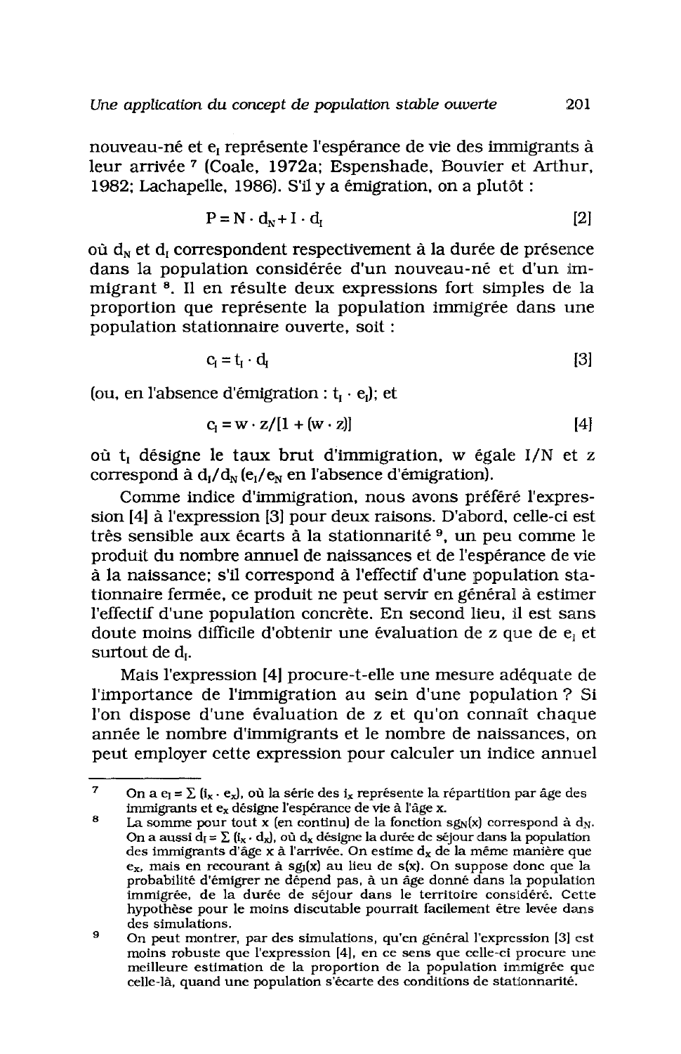nouveau-né et e<sub>l</sub> représente l'espérance de vie des immigrants à leur arrivée 7 (Coale, 1972a: Espenshade, Bouvier et Arthur, 1982; Lachapelle, 1986). S'il y a émigration, on a plutôt :

$$
P = N \cdot d_N + I \cdot d_I \tag{2}
$$

où d<sub>y</sub> et d<sub>r</sub> correspondent respectivement à la durée de présence dans la population considérée d'un nouveau-né et d'un immigrant<sup>8</sup>. Il en résulte deux expressions fort simples de la proportion que représente la population immigrée dans une population stationnaire ouverte, soit :

$$
c_i = t_i \cdot d_i \tag{3}
$$

(ou, en l'absence d'émigration :  $t_i \cdot e_i$ ); et

$$
c_i = w \cdot z / [1 + (w \cdot z)] \tag{4}
$$

où t<sub>i</sub> désigne le taux brut d'immigration, w égale I/N et z correspond à  $d_I/d_N(e_I/e_N e_I)$  l'absence d'émigration).

Comme indice d'immigration, nous avons préféré l'expression [4] à l'expression [3] pour deux raisons. D'abord, celle-ci est très sensible aux écarts à la stationnarité<sup>9</sup>, un peu comme le produit du nombre annuel de naissances et de l'espérance de vie à la naissance; s'il correspond à l'effectif d'une population stationnaire fermée, ce produit ne peut servir en général à estimer l'effectif d'une population concrète. En second lieu, il est sans doute moins difficile d'obtenir une évaluation de z que de e<sub>i</sub> et surtout de d<sub>1</sub>.

Mais l'expression [4] procure-t-elle une mesure adéquate de l'importance de l'immigration au sein d'une population ? Si l'on dispose d'une évaluation de z et qu'on connaît chaque année le nombre d'immigrants et le nombre de naissances, on peut employer cette expression pour calculer un indice annuel

 $\overline{7}$ On a e<sub>l</sub> =  $\Sigma$  (i<sub>x</sub> · e<sub>x</sub>), où la série des i<sub>x</sub> représente la répartition par âge des immigrants et ex désigne l'espérance de vie à l'âge x.

Ŕ. La somme pour tout x (en continu) de la fonction  $sg_N(x)$  correspond à d<sub>N</sub>. On a aussi  $d_I = \sum_i (i_x \cdot d_x)$ , où  $d_x$  désigne la durée de séjour dans la population des immigrants d'âge  $x$  à l'arrivée. On estime  $d_x$  de la même manière que  $e_x$ , mais en recourant à sg<sub>I</sub>(x) au lieu de s(x). On suppose donc que la probabilité d'émigrer ne dépend pas, à un âge donné dans la population immigrée, de la durée de séjour dans le territoire considéré. Cette hypothèse pour le moins discutable pourrait facilement être levée dans des simulations.

<sup>9</sup> On peut montrer, par des simulations, qu'en général l'expression [3] est moins robuste que l'expression [4], en ce sens que celle-ci procure une meilleure estimation de la proportion de la population immigrée que celle-là, quand une population s'écarte des conditions de stationnarité.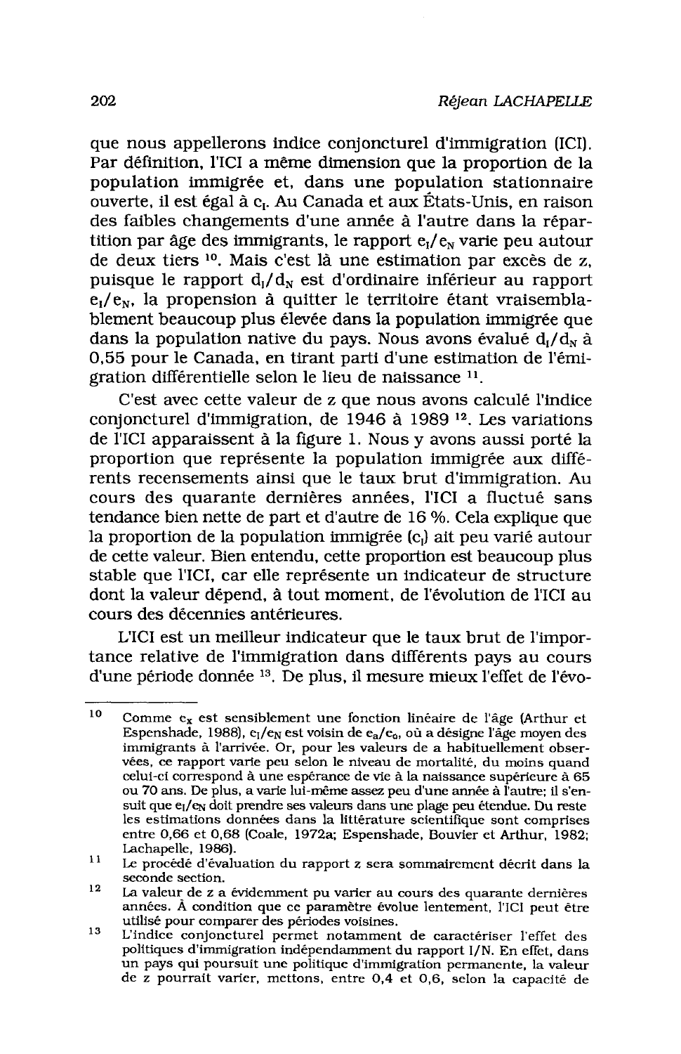que nous appellerons indice conjoncturel d'immigration (ICI). Par définition, l'ICI a même dimension que la proportion de la population immigrée et, dans une population stationnaire ouverte, il est égal à c<sub>r</sub>. Au Canada et aux États-Unis, en raison des faibles changements d'une année à l'autre dans la répartition par âge des immigrants, le rapport  $e_1/e_w$  varie peu autour de deux tiers <sup>10</sup>. Mais c'est là une estimation par excès de z. puisque le rapport  $d_1/d_N$  est d'ordinaire inférieur au rapport  $e_i/e_w$ , la propension à quitter le territoire étant vraisemblablement beaucoup plus élevée dans la population immigrée que dans la population native du pays. Nous avons évalué  $d_1/d_{\rm N}$  à 0,55 pour le Canada, en tirant parti d'une estimation de l'émigration différentielle selon le lieu de naissance 11.

C'est avec cette valeur de z que nous avons calculé l'indice conjoncturel d'immigration, de 1946 à 1989<sup>12</sup>. Les variations de l'ICI apparaissent à la figure 1. Nous y avons aussi porté la proportion que représente la population immigrée aux différents recensements ainsi que le taux brut d'immigration. Au cours des quarante dernières années. l'ICI a fluctué sans tendance bien nette de part et d'autre de 16 %. Cela explique que la proportion de la population immigrée (c,) ait peu varié autour de cette valeur. Bien entendu, cette proportion est beaucoup plus stable que l'ICI, car elle représente un indicateur de structure dont la valeur dépend, à tout moment, de l'évolution de l'ICI au cours des décennies antérieures.

L'ICI est un meilleur indicateur que le taux brut de l'importance relative de l'immigration dans différents pays au cours d'une période donnée <sup>13</sup>. De plus, il mesure mieux l'effet de l'évo-

<sup>10</sup> Comme  $e_x$  est sensiblement une fonction linéaire de l'âge (Arthur et Espenshade, 1988), e<sub>l</sub>/e<sub>N</sub> est voisin de e<sub>a</sub>/e<sub>o</sub>, où a désigne l'âge moyen des immigrants à l'arrivée. Or, pour les valeurs de a habituellement observées, ce rapport varie peu selon le niveau de mortalité, du moins quand celui-ci correspond à une espérance de vie à la naissance supérieure à 65 ou 70 ans. De plus, a varie lui-même assez peu d'une année à l'autre; il s'ensuit que e<sub>I</sub>/e<sub>N</sub> doit prendre ses valeurs dans une plage peu étendue. Du reste les estimations données dans la littérature scientifique sont comprises entre 0,66 et 0,68 (Coale, 1972a; Espenshade, Bouvier et Arthur, 1982; Lachapelle, 1986).

<sup>11</sup> Le procédé d'évaluation du rapport z sera sommairement décrit dans la seconde section.  $12$ 

La valeur de z a évidemment pu varier au cours des quarante dernières années. À condition que ce paramètre évolue lentement, l'ICI peut être utilisé pour comparer des périodes voisines.

<sup>13</sup> L'indice conjoncturel permet notamment de caractériser l'effet des politiques d'immigration indépendamment du rapport I/N. En effet, dans un pays qui poursuit une politique d'immigration permanente, la valeur de z pourrait varier, mettons, entre 0,4 et 0,6, selon la capacité de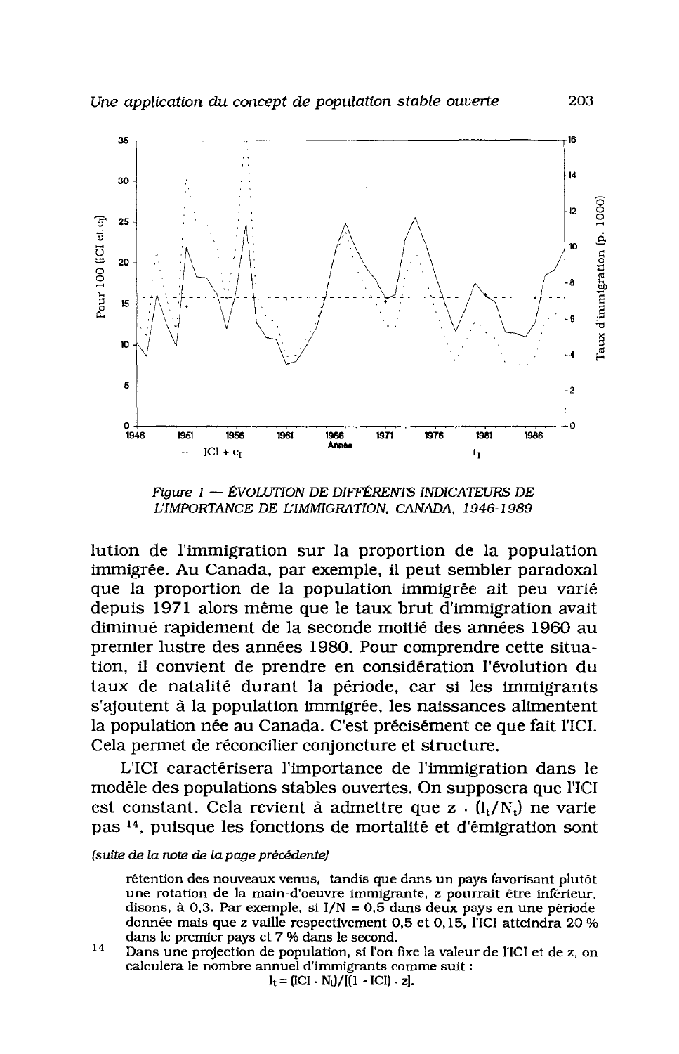

Figure  $1 -$  ÉVOLUTION DE DIFFÉRENTS INDICATEURS DE L'IMPORTANCE DE L'IMMIGRATION. CANADA. 1946-1989

lution de l'immigration sur la proportion de la population immigrée. Au Canada, par exemple, il peut sembler paradoxal que la proportion de la population immigrée ait peu varié depuis 1971 alors même que le taux brut d'immigration avait diminué rapidement de la seconde moitié des années 1960 au premier lustre des années 1980. Pour comprendre cette situation, il convient de prendre en considération l'évolution du taux de natalité durant la période, car si les immigrants s'ajoutent à la population immigrée, les naissances alimentent la population née au Canada. C'est précisément ce que fait l'ICI. Cela permet de réconcilier conjoncture et structure.

L'ICI caractérisera l'importance de l'immigration dans le modèle des populations stables ouvertes. On supposera que l'ICI est constant. Cela revient à admettre que  $z \cdot (I_t/N_t)$  ne varie pas <sup>14</sup>, puisque les fonctions de mortalité et d'émigration sont

## (suite de la note de la page précédente)

rétention des nouveaux venus, tandis que dans un pays favorisant plutôt une rotation de la main-d'oeuvre immigrante, z pourrait être inférieur, disons, à 0,3. Par exemple, si  $I/N = 0.5$  dans deux pays en une période donnée mais que z vaille respectivement 0,5 et 0,15, l'ICI atteindra 20 % dans le premier pays et 7 % dans le second.

14 Dans une projection de population, si l'on fixe la valeur de l'ICI et de z, on calculera le nombre annuel d'immigrants comme suit :  $I_t = (ICI \cdot N_t)/[(1 - ICI) \cdot z].$ 

203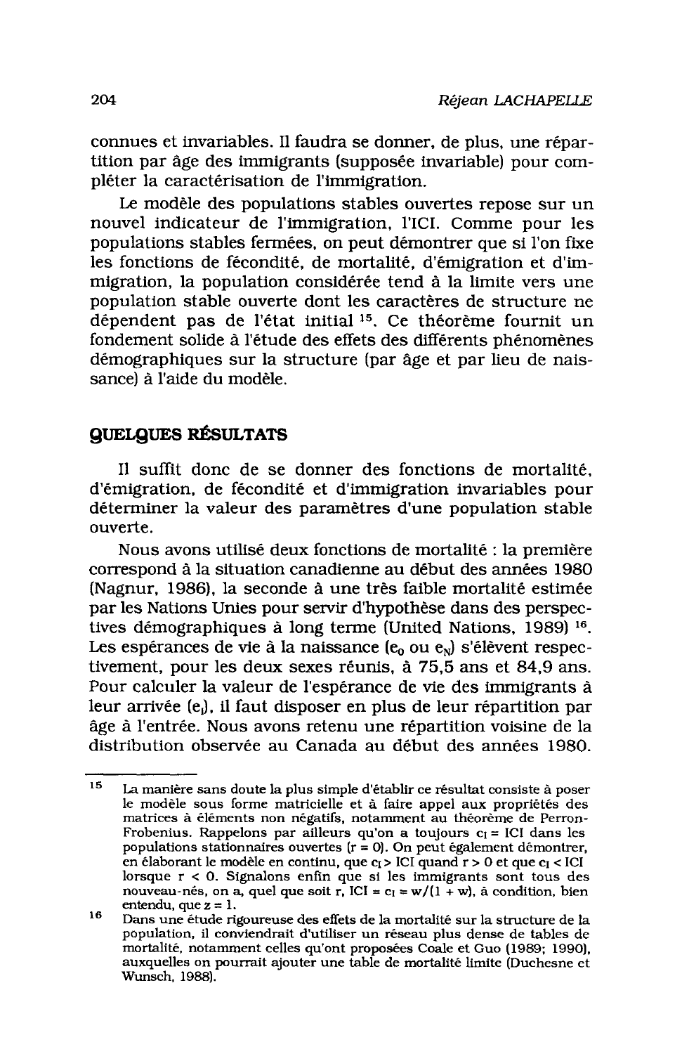connues et invariables. Il faudra se donner, de plus, une répartition par âge des immigrants (supposée invariable) pour compléter la caractérisation de l'immigration.

Le modèle des populations stables ouvertes repose sur un nouvel indicateur de l'immigration, l'ICI. Comme pour les populations stables fermées, on peut démontrer que si l'on fixe les fonctions de fécondité, de mortalité, d'émigration et d'immigration, la population considérée tend à la limite vers une population stable ouverte dont les caractères de structure ne dépendent pas de l'état initial<sup>15</sup>. Ce théorème fournit un fondement solide à l'étude des effets des différents phénomènes démographiques sur la structure (par âge et par lieu de naissance) à l'aide du modèle.

## **QUELQUES RÉSULTATS**

Il suffit donc de se donner des fonctions de mortalité. d'émigration, de fécondité et d'immigration invariables pour déterminer la valeur des paramètres d'une population stable ouverte.

Nous avons utilisé deux fonctions de mortalité : la première correspond à la situation canadienne au début des années 1980 (Nagnur, 1986), la seconde à une très faible mortalité estimée par les Nations Unies pour servir d'hypothèse dans des perspectives démographiques à long terme (United Nations, 1989)<sup>16</sup>. Les espérances de vie à la naissance  $(e_0$  ou  $e_N$ ) s'élèvent respectivement, pour les deux sexes réunis, à 75,5 ans et 84,9 ans. Pour calculer la valeur de l'espérance de vie des immigrants à leur arrivée (e), il faut disposer en plus de leur répartition par âge à l'entrée. Nous avons retenu une répartition voisine de la distribution observée au Canada au début des années 1980.

<sup>15</sup> La manière sans doute la plus simple d'établir ce résultat consiste à poser le modèle sous forme matricielle et à faire appel aux propriétés des matrices à éléments non négatifs, notamment au théorème de Perron-Frobenius. Rappelons par ailleurs qu'on a toujours  $c_1$  = ICI dans les populations stationnaires ouvertes ( $r = 0$ ). On peut également démontrer, en élaborant le modèle en continu, que c<sub>I</sub> > ICI quand r > 0 et que c<sub>I</sub> < ICI lorsque  $r < 0$ . Signalons enfin que si les immigrants sont tous des nouveau-nés, on a, quel que soit r, ICI =  $c_1 = w/(1 + w)$ , à condition, bien entendu, que  $z = 1$ .

<sup>16</sup> Dans une étude rigoureuse des effets de la mortalité sur la structure de la population, il conviendrait d'utiliser un réseau plus dense de tables de mortalité, notamment celles qu'ont proposées Coale et Guo (1989; 1990), auxquelles on pourrait ajouter une table de mortalité limite (Duchesne et Wunsch, 1988).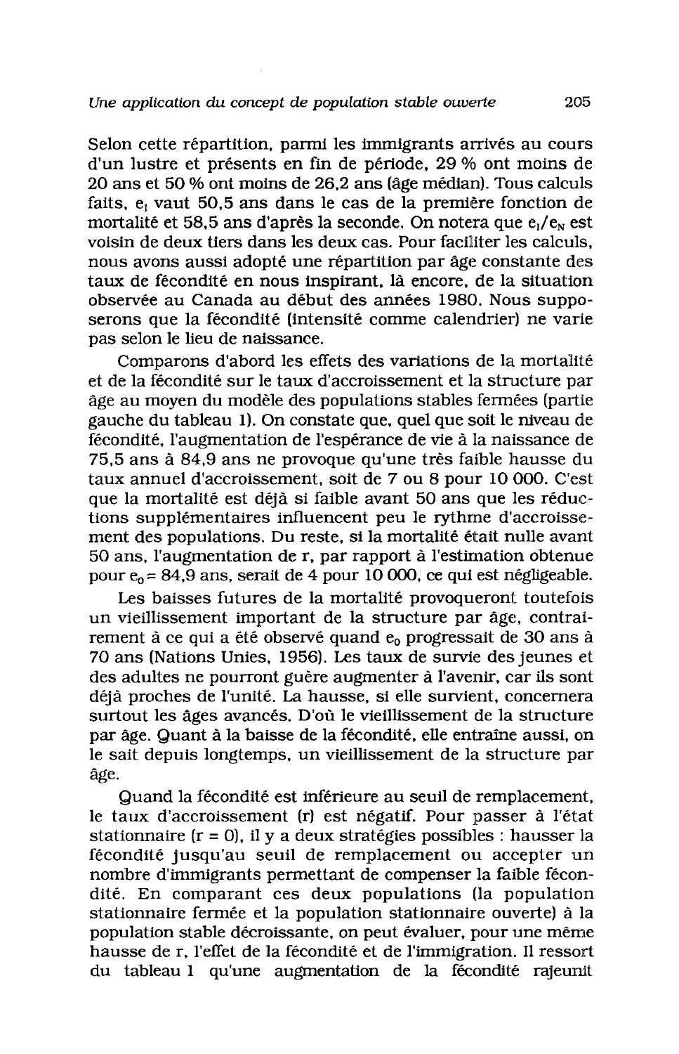Selon cette répartition, parmi les immigrants arrivés au cours d'un lustre et présents en fin de période, 29 % ont moins de 20 ans et 50 % ont moins de 26,2 ans (âge médian). Tous calculs faits, e<sub>t</sub> vaut 50,5 ans dans le cas de la première fonction de mortalité et 58,5 ans d'après la seconde. On notera que  $e_1/e_n$  est voisin de deux tiers dans les deux cas. Pour faciliter les calculs. nous avons aussi adopté une répartition par âge constante des taux de fécondité en nous inspirant, là encore, de la situation observée au Canada au début des années 1980. Nous supposerons que la fécondité (intensité comme calendrier) ne varie pas selon le lieu de naissance.

Comparons d'abord les effets des variations de la mortalité et de la fécondité sur le taux d'accroissement et la structure par âge au moyen du modèle des populations stables fermées (partie gauche du tableau 1). On constate que, quel que soit le niveau de fécondité. l'augmentation de l'espérance de vie à la naissance de 75.5 ans à 84.9 ans ne provoque qu'une très faible hausse du taux annuel d'accroissement, soit de 7 ou 8 pour 10 000. C'est que la mortalité est déjà si faible avant 50 ans que les réductions supplémentaires influencent peu le rythme d'accroissement des populations. Du reste, si la mortalité était nulle avant 50 ans, l'augmentation de r, par rapport à l'estimation obtenue pour  $e_0$  = 84,9 ans, serait de 4 pour 10 000, ce qui est négligeable.

Les baisses futures de la mortalité provoqueront toutefois un vieillissement important de la structure par âge, contrairement à ce qui a été observé quand e<sub>o</sub> progressait de 30 ans à 70 ans (Nations Unies, 1956). Les taux de survie des jeunes et des adultes ne pourront guère augmenter à l'avenir, car ils sont déjà proches de l'unité. La hausse, si elle survient, concernera surtout les âges avancés. D'où le vieillissement de la structure par âge. Quant à la baisse de la fécondité, elle entraîne aussi, on le sait depuis longtemps, un vieillissement de la structure par âge.

Quand la fécondité est inférieure au seuil de remplacement, le taux d'accroissement (r) est négatif. Pour passer à l'état stationnaire ( $r = 0$ ), il y a deux stratégies possibles : hausser la fécondité jusqu'au seuil de remplacement ou accepter un nombre d'immigrants permettant de compenser la faible fécondité. En comparant ces deux populations (la population stationnaire fermée et la population stationnaire ouverte) à la population stable décroissante, on peut évaluer, pour une même hausse de r. l'effet de la fécondité et de l'immigration. Il ressort du tableau 1 qu'une augmentation de la fécondité rajeunit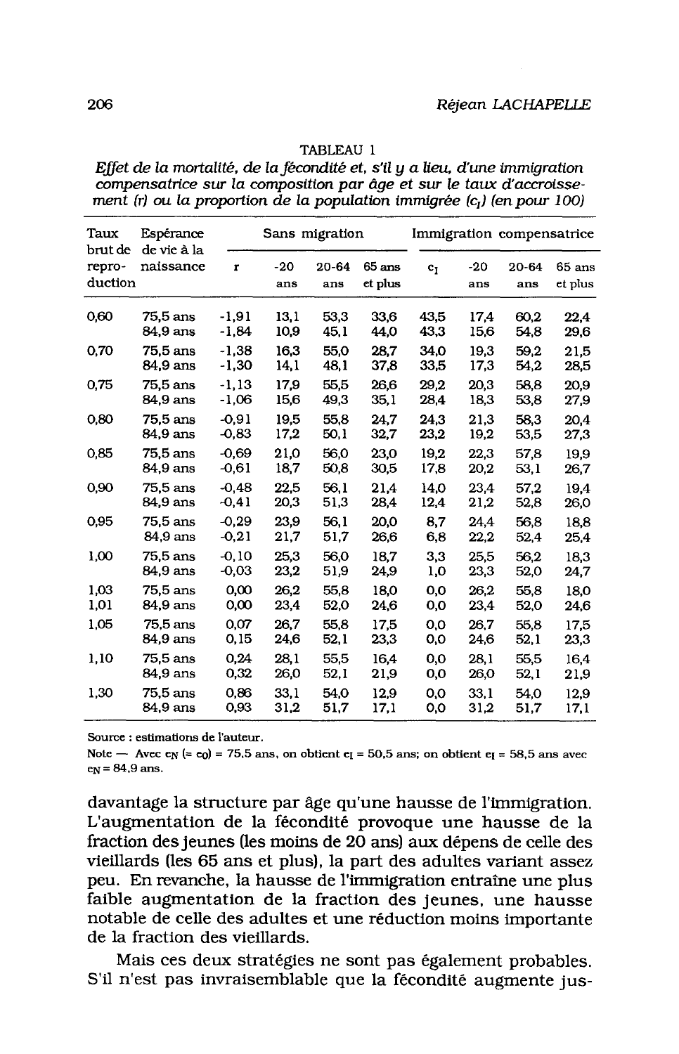| Taux<br>brut de   | Sans migration<br>Espérance<br>de vie à la |              |            |              | Immigration compensatrice |                |            |                  |                     |
|-------------------|--------------------------------------------|--------------|------------|--------------|---------------------------|----------------|------------|------------------|---------------------|
| repro-<br>duction | naissance                                  | $\mathbf{r}$ | -20<br>ans | 20-64<br>ans | $65$ ans<br>et plus       | c <sub>1</sub> | -20<br>ans | $20 - 64$<br>ans | $65$ ans<br>et plus |
| 0,60              | 75,5 ans                                   | $-1.91$      | 13.1       | 53,3         | 33,6                      | 43.5           | 17.4       | 60.2             | 22,4                |
|                   | 84,9 ans                                   | $-1,84$      | 10,9       | 45,1         | 44,0                      | 43,3           | 15,6       | 54,8             | 29,6                |
| 0,70              | 75.5 ans                                   | $-1.38$      | 16.3       | 55.0         | 28,7                      | 34.0           | 19.3       | 59.2             | 21,5                |
|                   | 84,9 ans                                   | $-1,30$      | 14,1       | 48,1         | 37,8                      | 33,5           | 17,3       | 54,2             | 28,5                |
| 0,75              | 75.5 ans                                   | $-1.13$      | 17.9       | 55.5         | 26.6                      | 29.2           | 20.3       | 58.8             | 20.9                |
|                   | 84,9 ans                                   | $-1,06$      | 15,6       | 49,3         | 35,1                      | 28,4           | 18,3       | 53,8             | 27,9                |
| 0,80              | 75.5 ans                                   | $-0.91$      | 19.5       | 55.8         | 24,7                      | 24.3           | 21.3       | 58.3             | 20.4                |
|                   | 84,9 ans                                   | $-0,83$      | 17,2       | 50,1         | 32,7                      | 23,2           | 19,2       | 53,5             | 27,3                |
| 0,85              | 75,5 ans                                   | $-0,69$      | 21.0       | 56.0         | 23,0                      | 19.2           | 22,3       | 57,8             | 19.9                |
|                   | 84,9 ans                                   | $-0,61$      | 18,7       | 50,8         | 30,5                      | 17,8           | 20,2       | 53,1             | 26,7                |
| 0,90              | 75.5 ans                                   | $-0.48$      | 22.5       | 56.1         | 21,4                      | 14.0           | 23,4       | 57.2             | 19,4                |
|                   | 84,9 ans                                   | $-0,41$      | 20,3       | 51,3         | 28,4                      | 12,4           | 21,2       | 52,8             | 26,0                |
| 0,95              | 75.5 ans                                   | $-0.29$      | 23,9       | 56,1         | 20,0                      | 8,7            | 24.4       | 56.8             | 18,8                |
|                   | 84.9 ans                                   | $-0,21$      | 21,7       | 51,7         | 26,6                      | 6,8            | 22,2       | 52,4             | 25,4                |
| 1,00              | 75.5 ans                                   | $-0.10$      | 25.3       | 56,0         | 18,7                      | 3,3            | 25,5       | 56,2             | 18.3                |
|                   | 84,9 ans                                   | $-0.03$      | 23,2       | 51,9         | 24,9                      | 1,0            | 23,3       | 52,0             | 24,7                |
| 1,03              | $75.5$ ans                                 | 0,00         | 26,2       | 55,8         | 18.0                      | 0,0            | 26.2       | 55.8             | 18,0                |
| 1,01              | 84.9 ans                                   | 0,00         | 23,4       | 52,0         | 24,6                      | 0,0            | 23,4       | 52,0             | 24.6                |
| 1,05              | 75,5 ans                                   | 0,07         | 26.7       | 55,8         | 17,5                      | 0.0            | 26.7       | 55.8             | 17,5                |
|                   | 84,9 ans                                   | 0,15         | 24,6       | 52,1         | 23,3                      | 0,0            | 24,6       | 52,1             | 23,3                |
| 1,10              | 75,5 ans                                   | 0.24         | 28,1       | 55,5         | 16,4                      | 0,0            | 28.1       | 55,5             | 16.4                |
|                   | 84,9 ans                                   | 0,32         | 26,0       | 52,1         | 21,9                      | 0,0            | 26,0       | 52,1             | 21,9                |
| 1,30              | 75.5 ans                                   | 0,86         | 33.1       | 54,0         | 12,9                      | 0,0            | 33.1       | 54.0             | 12.9                |
|                   | 84,9 ans                                   | 0,93         | 31,2       | 51,7         | 17,1                      | 0,0            | 31,2       | 51,7             | 17,1                |

#### TABLEAU 1

Effet de la mortalité, de la fécondité et, s'il y a lieu, d'une immigration compensatrice sur la composition par âge et sur le taux d'accroissement (r) ou la proportion de la population immigrée  $(c_1)$  (en pour 100)

Source : estimations de l'auteur.

Note — Avec e<sub>N</sub> (= e<sub>0</sub>) = 75.5 ans, on obtient e<sub>I</sub> = 50.5 ans; on obtient e<sub>I</sub> = 58.5 ans avec  $e_N = 84.9$  ans.

davantage la structure par âge qu'une hausse de l'immigration. L'augmentation de la fécondité provoque une hausse de la fraction des jeunes (les moins de 20 ans) aux dépens de celle des vieillards (les 65 ans et plus), la part des adultes variant assez peu. En revanche, la hausse de l'immigration entraîne une plus faible augmentation de la fraction des jeunes, une hausse notable de celle des adultes et une réduction moins importante de la fraction des vieillards.

Mais ces deux stratégies ne sont pas également probables. S'il n'est pas invraisemblable que la fécondité augmente jus-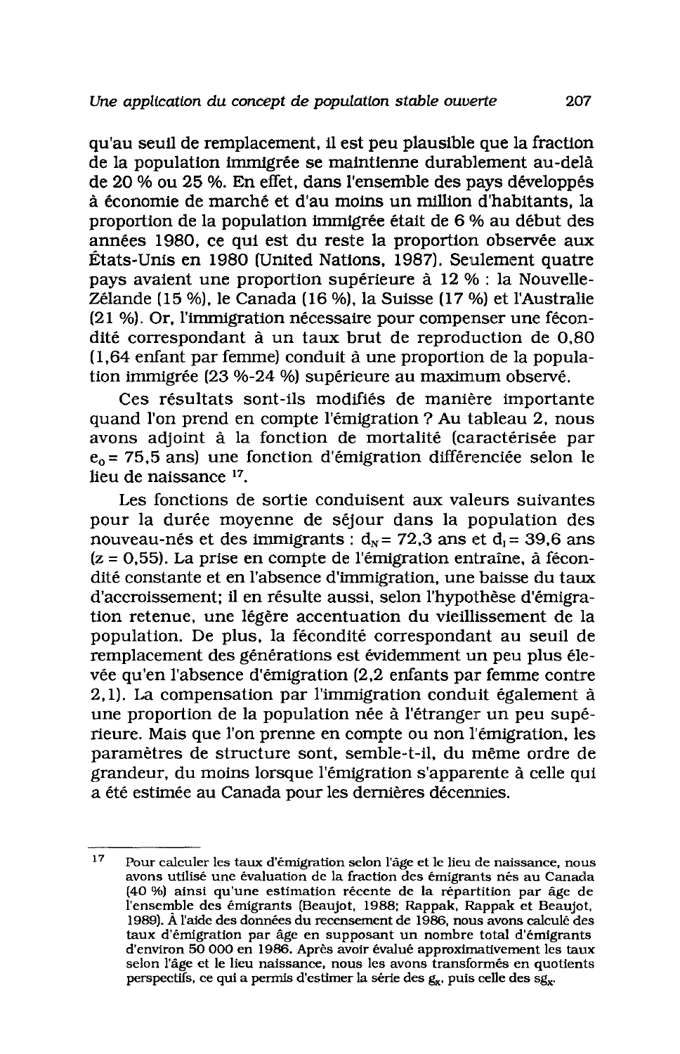qu'au seuil de remplacement, il est peu plausible que la fraction de la population immigrée se maintienne durablement au-delà de 20 % ou 25 %. En effet, dans l'ensemble des pays développés à économie de marché et d'au moins un million d'habitants, la proportion de la population immigrée était de 6 % au début des années 1980, ce qui est du reste la proportion observée aux États-Unis en 1980 (United Nations, 1987). Seulement quatre pays avaient une proportion supérieure à 12 % : la Nouvelle-Zélande (15 %), le Canada (16 %), la Suisse (17 %) et l'Australie (21 %). Or, l'immigration nécessaire pour compenser une fécondité correspondant à un taux brut de reproduction de 0.80 (1.64 enfant par femme) conduit à une proportion de la population immigrée (23 %-24 %) supérieure au maximum observé.

Ces résultats sont-ils modifiés de manière importante quand l'on prend en compte l'émigration ? Au tableau 2, nous avons adjoint à la fonction de mortalité (caractérisée par  $e_0$  = 75,5 ans) une fonction d'émigration différenciée selon le lieu de naissance 17.

Les fonctions de sortie conduisent aux valeurs suivantes pour la durée moyenne de séjour dans la population des nouveau-nés et des immigrants :  $d_N$  = 72,3 ans et  $d_i$  = 39,6 ans  $(z = 0.55)$ . La prise en compte de l'émigration entraîne, à fécondité constante et en l'absence d'immigration, une baisse du taux d'accroissement; il en résulte aussi, selon l'hypothèse d'émigration retenue, une légère accentuation du vieillissement de la population. De plus, la fécondité correspondant au seuil de remplacement des générations est évidemment un peu plus élevée qu'en l'absence d'émigration (2,2 enfants par femme contre 2.1). La compensation par l'immigration conduit également à une proportion de la population née à l'étranger un peu supérieure. Mais que l'on prenne en compte ou non l'émigration, les paramètres de structure sont, semble-t-il, du même ordre de grandeur, du moins lorsque l'émigration s'apparente à celle qui a été estimée au Canada pour les dernières décennies.

 $17$ Pour calculer les taux d'émigration selon l'âge et le lieu de naissance, nous avons utilisé une évaluation de la fraction des émigrants nés au Canada (40 %) ainsi qu'une estimation récente de la répartition par âge de l'ensemble des émigrants (Beaujot, 1988; Rappak, Rappak et Beaujot, 1989). À l'aide des données du recensement de 1986, nous avons calculé des taux d'émigration par âge en supposant un nombre total d'émigrants d'environ 50 000 en 1986. Après avoir évalué approximativement les taux selon l'âge et le lieu naissance, nous les avons transformés en quotients perspectifs, ce qui a permis d'estimer la série des  $g_x$ , puis celle des  $sg_x$ .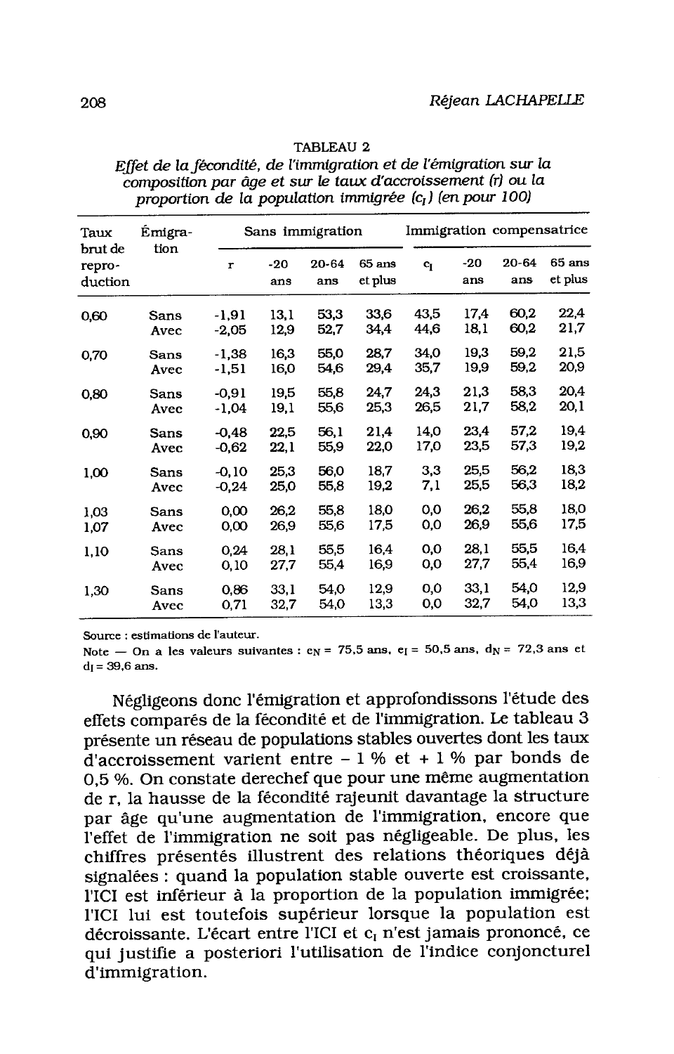| Taux<br>brut de<br>repro-<br>duction | Émigra-<br>tion | Sans immigration |              |              |                     | Immigration compensatrice |              |                  |                     |
|--------------------------------------|-----------------|------------------|--------------|--------------|---------------------|---------------------------|--------------|------------------|---------------------|
|                                      |                 | $\mathbf{r}$     | $-20$<br>ans | 20-64<br>ans | $65$ ans<br>et plus | $c_{I}$                   | $-20$<br>ans | $20 - 64$<br>ans | $65$ ans<br>et plus |
| 0,60                                 | Sans            | $-1,91$          | 13,1         | 53,3         | 33,6                | 43,5                      | 17.4         | 60,2             | 22,4                |
|                                      | Avec            | $-2,05$          | 12,9         | 52,7         | 34,4                | 44,6                      | 18,1         | 60,2             | 21,7                |
| 0,70                                 | Sans            | $-1,38$          | 16,3         | 55.0         | 28.7                | 34.0                      | 19,3         | 59,2             | 21,5                |
|                                      | Avec            | $-1,51$          | 16,0         | 54,6         | 29,4                | 35,7                      | 19,9         | 59.2             | 20,9                |
| 0,80                                 | Sans            | $-0.91$          | 19,5         | 55,8         | 24,7                | 24.3                      | 21,3         | 58,3             | 20.4                |
|                                      | Avec            | $-1,04$          | 19,1         | 55,6         | 25,3                | 26.5                      | 21,7         | 58,2             | 20,1                |
| 0,90                                 | Sans            | $-0.48$          | 22.5         | 56,1         | 21.4                | 14,0                      | 23,4         | 57.2             | 19,4                |
|                                      | Avec            | $-0.62$          | 22,1         | 55,9         | 22,0                | 17,0                      | 23,5         | 57,3             | 19,2                |
| 1,00                                 | Sans            | $-0.10$          | 25,3         | 56.0         | 18,7                | 3,3                       | 25,5         | 56,2             | 18,3                |
|                                      | Avec            | $-0,24$          | 25,0         | 55,8         | 19,2                | 7,1                       | 25,5         | 56,3             | 18,2                |
| 1,03                                 | Sans            | 0,00             | 26,2         | 55,8         | 18,0                | 0,0                       | 26,2         | 55.8             | 18,0                |
| 1,07                                 | Avec            | 0,00             | 26,9         | 55,6         | 17,5                | 0,0                       | 26.9         | 55,6             | 17,5                |
| 1,10                                 | Sans            | 0,24             | 28.1         | 55,5         | 16,4                | 0,0                       | 28.1         | 55,5             | 16,4                |
|                                      | Avec            | 0, 10            | 27,7         | 55,4         | 16,9                | 0,0                       | 27,7         | 55,4             | 16,9                |
| 1,30                                 | Sans            | 0,86             | 33,1         | 54,0         | 12,9                | 0,0                       | 33,1         | 54,0             | 12,9                |
|                                      | Avec            | 0,71             | 32,7         | 54,0         | 13,3                | 0,0                       | 32,7         | 54,0             | 13,3                |

#### **TABLEAU 2**

Effet de la fécondité, de l'immigration et de l'émigration sur la composition par âge et sur le taux d'accroissement (r) ou la proportion de la population immigrée (c<sub>1</sub>) (en pour 100)

Source : estimations de l'auteur.

Note – On a les valeurs suivantes :  $e_N = 75.5$  ans,  $e_I = 50.5$  ans,  $d_N = 72.3$  ans et  $d_1 = 39.6$  ans.

Négligeons donc l'émigration et approfondissons l'étude des effets comparés de la fécondité et de l'immigration. Le tableau 3 présente un réseau de populations stables ouvertes dont les taux d'accroissement varient entre  $-1$  % et  $+1$  % par bonds de 0.5 %. On constate derechef que pour une même augmentation de r. la hausse de la fécondité rajeunit davantage la structure par âge qu'une augmentation de l'immigration, encore que l'effet de l'immigration ne soit pas négligeable. De plus, les chiffres présentés illustrent des relations théoriques déjà signalées : quand la population stable ouverte est croissante. l'ICI est inférieur à la proportion de la population immigrée; l'ICI lui est toutefois supérieur lorsque la population est décroissante. L'écart entre l'ICI et c<sub>i</sub> n'est jamais prononcé, ce qui justifie a posteriori l'utilisation de l'indice conjoncturel d'immigration.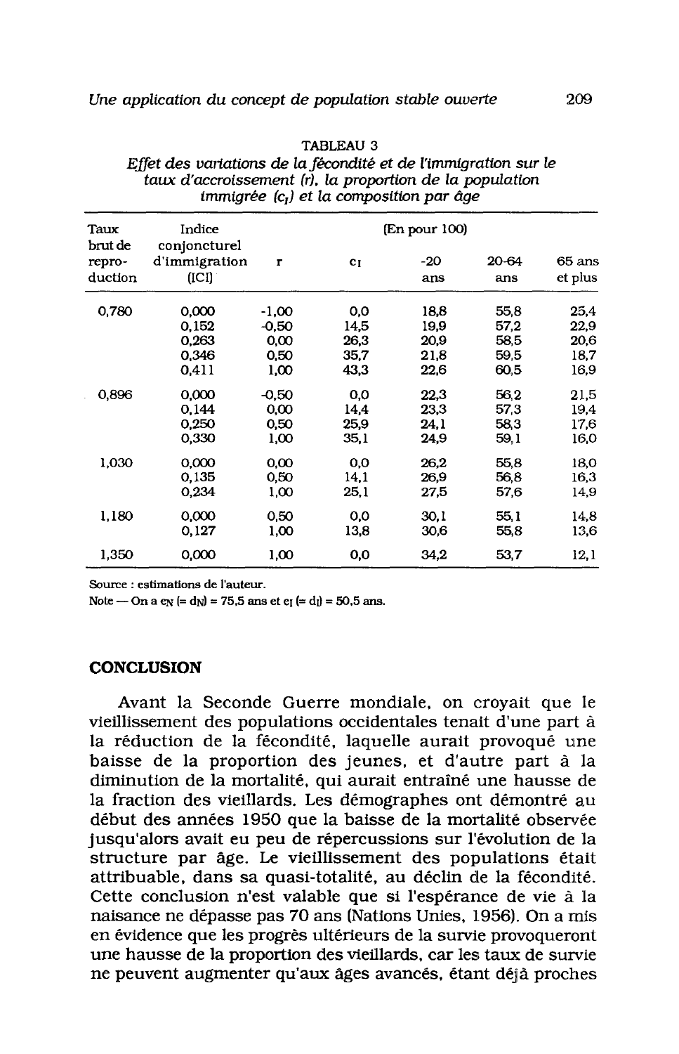| Taux<br>brut de | Indice<br>conjoncturel | (En pour 100) |                |      |       |         |  |  |  |
|-----------------|------------------------|---------------|----------------|------|-------|---------|--|--|--|
| repro-          | d'immigration          | $\mathbf{r}$  | c <sub>I</sub> | -20  | 20-64 | 65 ans  |  |  |  |
| duction         | (ICI)                  |               |                | ans  | ans   | et plus |  |  |  |
| 0,780           | 0,000                  | $-1,00$       | 0,0            | 18,8 | 55,8  | 25,4    |  |  |  |
|                 | 0.152                  | $-0.50$       | 14,5           | 19,9 | 57,2  | 22,9    |  |  |  |
|                 | 0.263                  | 0,00          | 26,3           | 20,9 | 58,5  | 20,6    |  |  |  |
|                 | 0.346                  | 0,50          | 35,7           | 21.8 | 59,5  | 18,7    |  |  |  |
|                 | 0.411                  | 1,00          | 43.3           | 22,6 | 60,5  | 16.9    |  |  |  |
| 0,896           | 0.000                  | $-0.50$       | 0,0            | 22,3 | 56.2  | 21,5    |  |  |  |
|                 | 0,144                  | 0,00          | 14,4           | 23.3 | 57,3  | 19,4    |  |  |  |
|                 | 0.250                  | 0,50          | 25,9           | 24.1 | 58,3  | 17,6    |  |  |  |
|                 | 0,330                  | 1,00          | 35,1           | 24.9 | 59,1  | 16,0    |  |  |  |
| 1,030           | 0,000                  | 0,00          | 0,0            | 26,2 | 55,8  | 18,0    |  |  |  |
|                 | 0,135                  | 0,50          | 14,1           | 26,9 | 56,8  | 16,3    |  |  |  |
|                 | 0,234                  | 1,00          | 25,1           | 27,5 | 57,6  | 14,9    |  |  |  |
| 1,180           | 0,000                  | 0,50          | 0,0            | 30.1 | 55.1  | 14,8    |  |  |  |
|                 | 0.127                  | 1,00          | 13,8           | 30,6 | 55,8  | 13,6    |  |  |  |
| 1,350           | 0,000                  | 1,00          | 0,0            | 34,2 | 53,7  | 12,1    |  |  |  |
|                 |                        |               |                |      |       |         |  |  |  |

| TABLEAU 3                                                       |
|-----------------------------------------------------------------|
| Effet des variations de la fécondité et de l'immigration sur le |
| taux d'accroissement (r), la proportion de la population        |
| immigrée $(c_i)$ et la composition par âge                      |

 $m \cdot m \cdot m \cdot m$ 

Source : estimations de l'auteur.

Note — On a  $e_N$  (= d<sub>N</sub>) = 75,5 ans et  $e_I$  (= d<sub>1</sub>) = 50,5 ans.

## **CONCLUSION**

Avant la Seconde Guerre mondiale, on croyait que le vieillissement des populations occidentales tenait d'une part à la réduction de la fécondité, laquelle aurait provoqué une baisse de la proportion des jeunes, et d'autre part à la diminution de la mortalité, qui aurait entraîné une hausse de la fraction des vieillards. Les démographes ont démontré au début des années 1950 que la baisse de la mortalité observée jusqu'alors avait eu peu de répercussions sur l'évolution de la structure par âge. Le vieillissement des populations était attribuable, dans sa quasi-totalité, au déclin de la fécondité. Cette conclusion n'est valable que si l'espérance de vie à la naisance ne dépasse pas 70 ans (Nations Unies, 1956). On a mis en évidence que les progrès ultérieurs de la survie provoqueront une hausse de la proportion des vieillards, car les taux de survie ne peuvent augmenter qu'aux âges avancés, étant déjà proches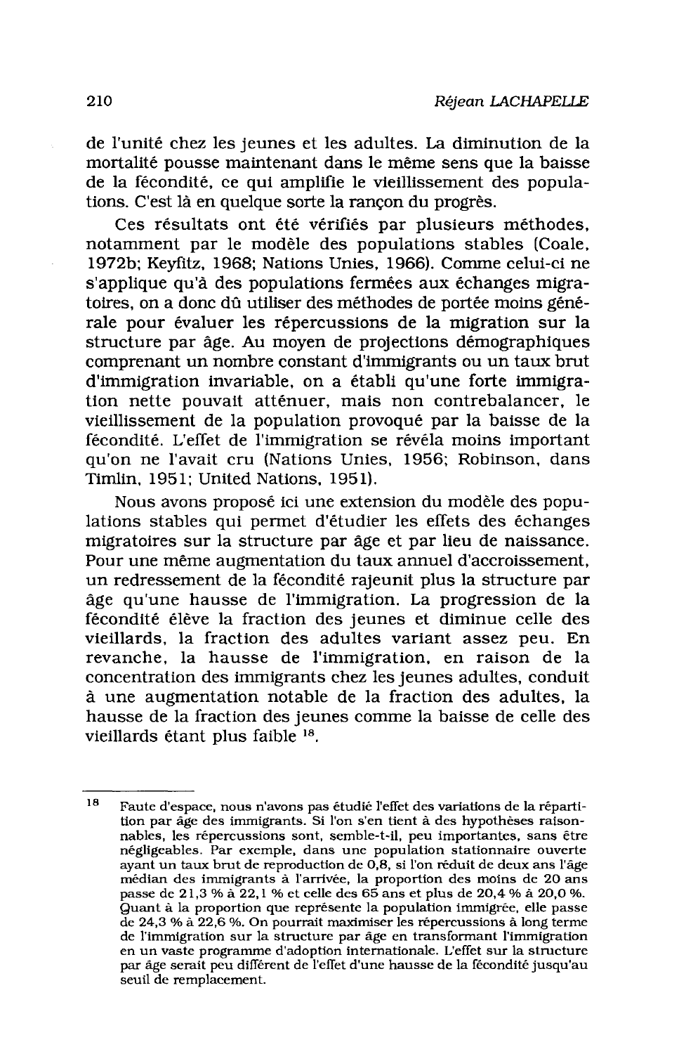de l'unité chez les jeunes et les adultes. La diminution de la mortalité pousse maintenant dans le même sens que la baisse de la fécondité, ce qui amplifie le vieillissement des populations. C'est là en quelque sorte la rançon du progrès.

Ces résultats ont été vérifiés par plusieurs méthodes, notamment par le modèle des populations stables (Coale, 1972b; Keyfitz, 1968; Nations Unies, 1966). Comme celui-ci ne s'applique qu'à des populations fermées aux échanges migratoires, on a donc dû utiliser des méthodes de portée moins générale pour évaluer les répercussions de la migration sur la structure par âge. Au moyen de projections démographiques comprenant un nombre constant d'immigrants ou un taux brut d'immigration invariable, on a établi qu'une forte immigration nette pouvait atténuer, mais non contrebalancer, le vieillissement de la population provoqué par la baisse de la fécondité. L'effet de l'immigration se révéla moins important qu'on ne l'avait cru (Nations Unies, 1956; Robinson, dans Timlin, 1951; United Nations, 1951).

Nous avons proposé ici une extension du modèle des populations stables qui permet d'étudier les effets des échanges migratoires sur la structure par âge et par lieu de naissance. Pour une même augmentation du taux annuel d'accroissement, un redressement de la fécondité rajeunit plus la structure par âge qu'une hausse de l'immigration. La progression de la fécondité élève la fraction des jeunes et diminue celle des vieillards, la fraction des adultes variant assez peu. En revanche, la hausse de l'immigration, en raison de la concentration des immigrants chez les jeunes adultes, conduit à une augmentation notable de la fraction des adultes, la hausse de la fraction des jeunes comme la baisse de celle des vieillards étant plus faible 18.

<sup>18</sup> Faute d'espace, nous n'avons pas étudié l'effet des variations de la répartition par âge des immigrants. Si l'on s'en tient à des hypothèses raisonnables, les répercussions sont, semble-t-il, peu importantes, sans être négligeables. Par exemple, dans une population stationnaire ouverte<br>ayant un taux brut de reproduction de 0,8, si l'on réduit de deux ans l'âge médian des immigrants à l'arrivée, la proportion des moins de 20 ans passe de 21,3 % à 22,1 % et celle des 65 ans et plus de 20,4 % à 20,0 %. Quant à la proportion que représente la population immigrée, elle passe de 24,3 % à 22,6 %. On pourrait maximiser les répercussions à long terme de l'immigration sur la structure par âge en transformant l'immigration en un vaste programme d'adoption internationale. L'effet sur la structure par âge serait peu différent de l'effet d'une hausse de la fécondité jusqu'au seuil de remplacement.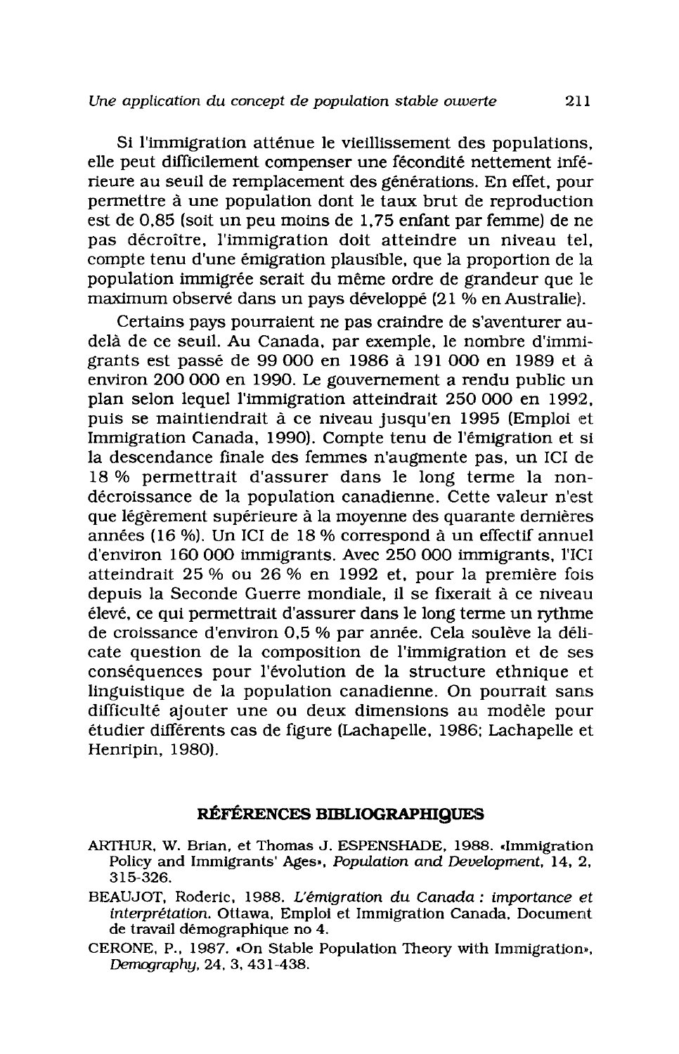Si l'immigration atténue le vieillissement des populations. elle peut difficilement compenser une fécondité nettement inférieure au seuil de remplacement des générations. En effet, pour permettre à une population dont le taux brut de reproduction est de 0,85 (soit un peu moins de 1,75 enfant par femme) de ne pas décroître, l'immigration doit atteindre un niveau tel, compte tenu d'une émigration plausible, que la proportion de la population immigrée serait du même ordre de grandeur que le maximum observé dans un pays développé (21 % en Australie).

Certains pays pourraient ne pas craindre de s'aventurer audelà de ce seuil. Au Canada, par exemple, le nombre d'immigrants est passé de 99 000 en 1986 à 191 000 en 1989 et à environ 200 000 en 1990. Le gouvernement a rendu public un plan selon lequel l'immigration atteindrait 250 000 en 1992, puis se maintiendrait à ce niveau jusqu'en 1995 (Emploi et Immigration Canada, 1990). Compte tenu de l'émigration et si la descendance finale des femmes n'augmente pas, un ICI de 18 % permettrait d'assurer dans le long terme la nondécroissance de la population canadienne. Cette valeur n'est que légèrement supérieure à la moyenne des quarante dernières années (16 %). Un ICI de 18 % correspond à un effectif annuel d'environ 160 000 immigrants. Avec 250 000 immigrants, l'ICI atteindrait 25 % ou 26 % en 1992 et, pour la première fois depuis la Seconde Guerre mondiale, il se fixerait à ce niveau élevé, ce qui permettrait d'assurer dans le long terme un rythme de croissance d'environ 0,5 % par année. Cela soulève la délicate question de la composition de l'immigration et de ses conséquences pour l'évolution de la structure ethnique et linguistique de la population canadienne. On pourrait sans difficulté ajouter une ou deux dimensions au modèle pour étudier différents cas de figure (Lachapelle, 1986; Lachapelle et Henripin, 1980).

## RÉFÉRENCES BIBLIOGRAPHIQUES

- ARTHUR, W. Brian, et Thomas J. ESPENSHADE, 1988. «Immigration Policy and Immigrants' Ages», Population and Development, 14, 2, 315-326.
- BEAUJOT, Roderic, 1988. L'émigration du Canada : importance et interprétation. Ottawa, Emploi et Immigration Canada, Document de travail démographique no 4.
- CERONE, P., 1987. «On Stable Population Theory with Immigration», Demography, 24, 3, 431-438.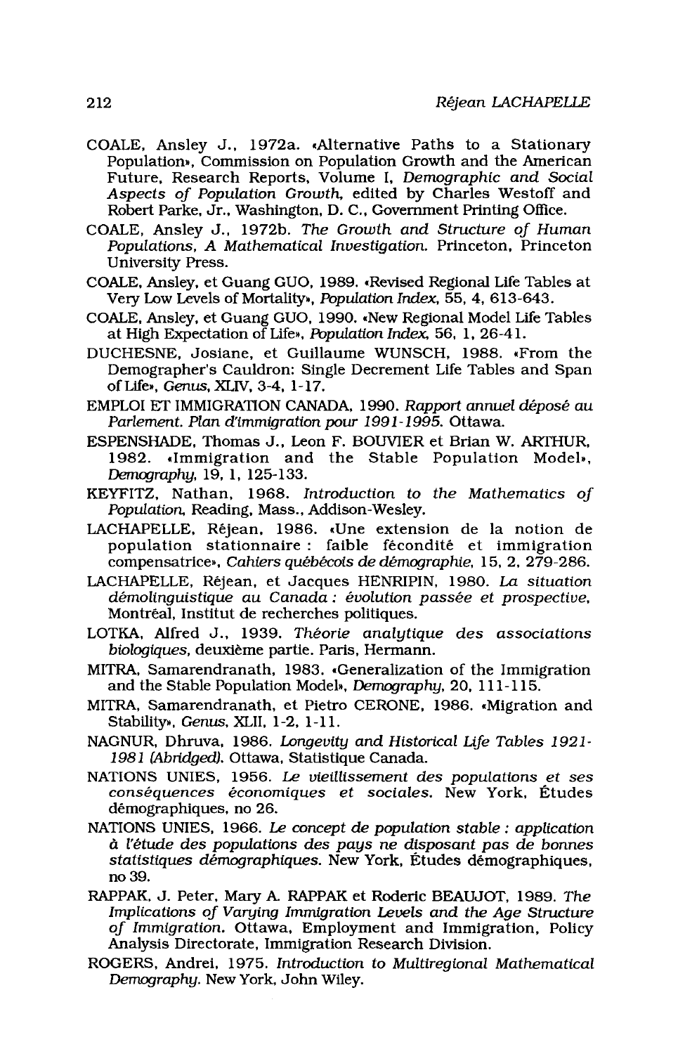- COALE, Ansley J., 1972a. «Alternative Paths to a Stationary Population», Commission on Population Growth and the American Future, Research Reports, Volume I, Demographic and Social Aspects of Population Growth, edited by Charles Westoff and Robert Parke, Jr., Washington, D. C., Government Printing Office.
- COALE, Ansley J., 1972b. The Growth and Structure of Human Populations, A Mathematical Investigation. Princeton, Princeton University Press.
- COALE, Ansley, et Guang GUO, 1989. «Revised Regional Life Tables at Very Low Levels of Mortality». Population Index, 55, 4, 613-643.
- COALE, Ansley, et Guang GUO, 1990. «New Regional Model Life Tables at High Expectation of Life». Population Index, 56, 1, 26-41.
- DUCHESNE, Josiane, et Guillaume WUNSCH, 1988. «From the Demographer's Cauldron: Single Decrement Life Tables and Span of Life», Genus, XLIV, 3-4, 1-17.
- EMPLOI ET IMMIGRATION CANADA, 1990. Rapport annuel déposé au Parlement. Plan d'immigration pour 1991-1995. Ottawa.
- ESPENSHADE, Thomas J., Leon F. BOUVIER et Brian W. ARTHUR, 1982. «Immigration and the Stable Population Model», Demography, 19, 1, 125-133.
- KEYFITZ, Nathan, 1968. Introduction to the Mathematics of Population, Reading, Mass., Addison-Wesley.
- LACHAPELLE, Réjean, 1986. «Une extension de la notion de population stationnaire : faible fécondité et immigration compensatrice», Cahiers québécois de démographie, 15, 2, 279-286.
- LACHAPELLE, Réjean, et Jacques HENRIPIN, 1980. La situation démolinguistique au Canada : évolution passée et prospective, Montréal, Institut de recherches politiques.
- LOTKA, Alfred J., 1939. Théorie analytique des associations biologiques, deuxième partie. Paris, Hermann.
- MITRA, Samarendranath, 1983. «Generalization of the Immigration and the Stable Population Model», Demography, 20, 111-115.
- MITRA, Samarendranath, et Pietro CERONE, 1986. «Migration and Stability». Genus. XLII. 1-2. 1-11.
- NAGNUR, Dhruva, 1986. Longevity and Historical Life Tables 1921-1981 (Abridged). Ottawa, Statistique Canada.
- NATIONS UNIES, 1956. Le vieillissement des populations et ses conséquences économiques et sociales. New York, Études démographiques, no 26.
- NATIONS UNIES, 1966. Le concept de population stable : application à l'étude des populations des pays ne disposant pas de bonnes statistiques démographiques. New York, Études démographiques. no 39.
- RAPPAK, J. Peter, Mary A. RAPPAK et Roderic BEAUJOT, 1989. The Implications of Varying Immigration Levels and the Age Structure of Immigration. Ottawa, Employment and Immigration, Policy Analysis Directorate. Immigration Research Division.
- ROGERS, Andrei, 1975. Introduction to Multiregional Mathematical Demography. New York, John Wiley.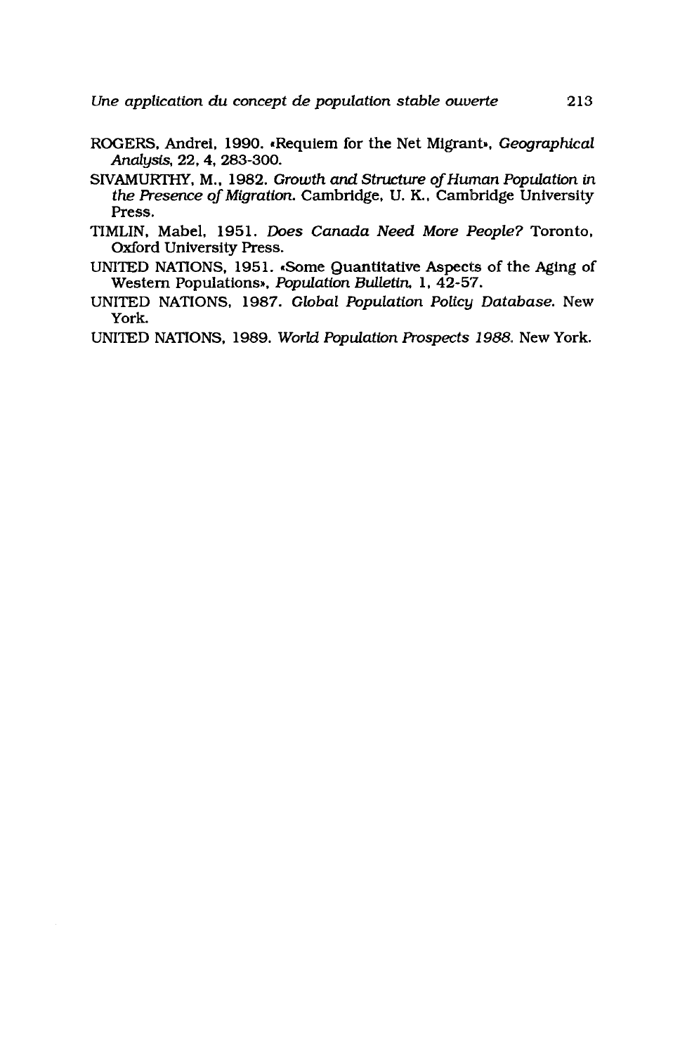- ROGERS, Andrei, 1990. «Requiem for the Net Migrant», Geographical Analysis, 22, 4, 283-300.
- SIVAMURTHY, M., 1982. Growth and Structure of Human Population in the Presence of Migration. Cambridge, U. K., Cambridge University Press.
- TIMLIN, Mabel, 1951. Does Canada Need More People? Toronto, Oxford University Press.
- UNITED NATIONS, 1951. Some Quantitative Aspects of the Aging of Western Populations», Population Bulletin, 1, 42-57.
- UNITED NATIONS, 1987. Global Population Policy Database. New York.
- UNITED NATIONS, 1989. World Population Prospects 1988. New York.